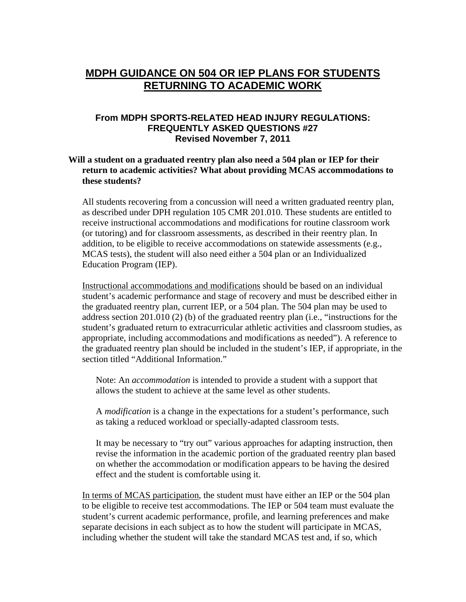## **MDPH GUIDANCE ON 504 OR IEP PLANS FOR STUDENTS RETURNING TO ACADEMIC WORK**

## **From MDPH SPORTS-RELATED HEAD INJURY REGULATIONS: FREQUENTLY ASKED QUESTIONS #27 Revised November 7, 2011**

## **Will a student on a graduated reentry plan also need a 504 plan or IEP for their return to academic activities? What about providing MCAS accommodations to these students?**

All students recovering from a concussion will need a written graduated reentry plan, as described under DPH regulation 105 CMR 201.010. These students are entitled to receive instructional accommodations and modifications for routine classroom work (or tutoring) and for classroom assessments, as described in their reentry plan. In addition, to be eligible to receive accommodations on statewide assessments (e.g., MCAS tests), the student will also need either a 504 plan or an Individualized Education Program (IEP).

Instructional accommodations and modifications should be based on an individual student's academic performance and stage of recovery and must be described either in the graduated reentry plan, current IEP, or a 504 plan. The 504 plan may be used to address section 201.010 (2) (b) of the graduated reentry plan (i.e., "instructions for the student's graduated return to extracurricular athletic activities and classroom studies, as appropriate, including accommodations and modifications as needed"). A reference to the graduated reentry plan should be included in the student's IEP, if appropriate, in the section titled "Additional Information."

Note: An *accommodation* is intended to provide a student with a support that allows the student to achieve at the same level as other students.

A *modification* is a change in the expectations for a student's performance, such as taking a reduced workload or specially-adapted classroom tests.

It may be necessary to "try out" various approaches for adapting instruction, then revise the information in the academic portion of the graduated reentry plan based on whether the accommodation or modification appears to be having the desired effect and the student is comfortable using it.

In terms of MCAS participation, the student must have either an IEP or the 504 plan to be eligible to receive test accommodations. The IEP or 504 team must evaluate the student's current academic performance, profile, and learning preferences and make separate decisions in each subject as to how the student will participate in MCAS, including whether the student will take the standard MCAS test and, if so, which